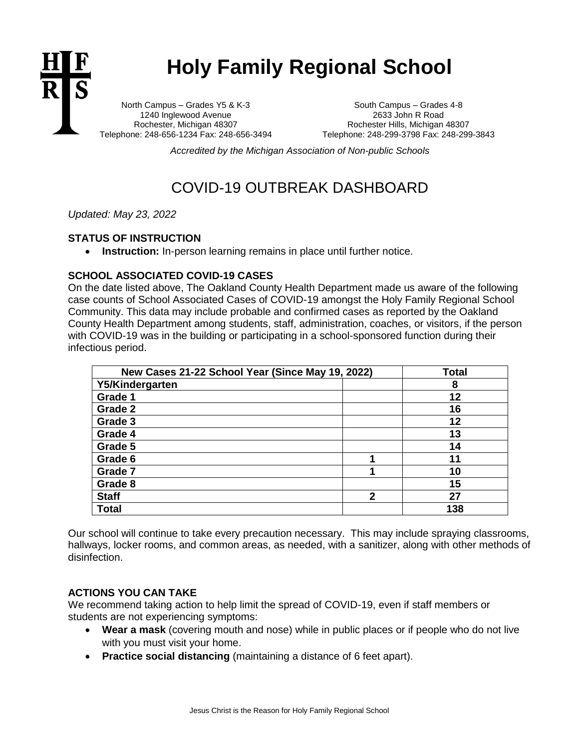

# **Holy Family Regional School**

North Campus – Grades Y5 & K-3 1240 Inglewood Avenue Rochester, Michigan 48307 Telephone: 248-656-1234 Fax: 248-656-3494

South Campus – Grades 4-8 2633 John R Road Rochester Hills, Michigan 48307 Telephone: 248-299-3798 Fax: 248-299-3843

*Accredited by the Michigan Association of Non-public Schools*

## COVID-19 OUTBREAK DASHBOARD

*Updated: May 23, 2022*

#### **STATUS OF INSTRUCTION**

• **Instruction:** In-person learning remains in place until further notice.

### **SCHOOL ASSOCIATED COVID-19 CASES**

On the date listed above, The Oakland County Health Department made us aware of the following case counts of School Associated Cases of COVID-19 amongst the Holy Family Regional School Community. This data may include probable and confirmed cases as reported by the Oakland County Health Department among students, staff, administration, coaches, or visitors, if the person with COVID-19 was in the building or participating in a school-sponsored function during their infectious period.

| New Cases 21-22 School Year (Since May 19, 2022) |              | <b>Total</b> |
|--------------------------------------------------|--------------|--------------|
| Y5/Kindergarten                                  |              | 8            |
| Grade 1                                          |              | 12           |
| Grade 2                                          |              | 16           |
| Grade 3                                          |              | 12           |
| Grade 4                                          |              | 13           |
| Grade 5                                          |              | 14           |
| Grade 6                                          |              | 11           |
| Grade 7                                          |              | 10           |
| Grade 8                                          |              | 15           |
| <b>Staff</b>                                     | $\mathbf{2}$ | 27           |
| <b>Total</b>                                     |              | 138          |

Our school will continue to take every precaution necessary. This may include spraying classrooms, hallways, locker rooms, and common areas, as needed, with a sanitizer, along with other methods of disinfection.

#### **ACTIONS YOU CAN TAKE**

We recommend taking action to help limit the spread of COVID-19, even if staff members or students are not experiencing symptoms:

- **Wear a mask** (covering mouth and nose) while in public places or if people who do not live with you must visit your home.
- **Practice social distancing** (maintaining a distance of 6 feet apart).